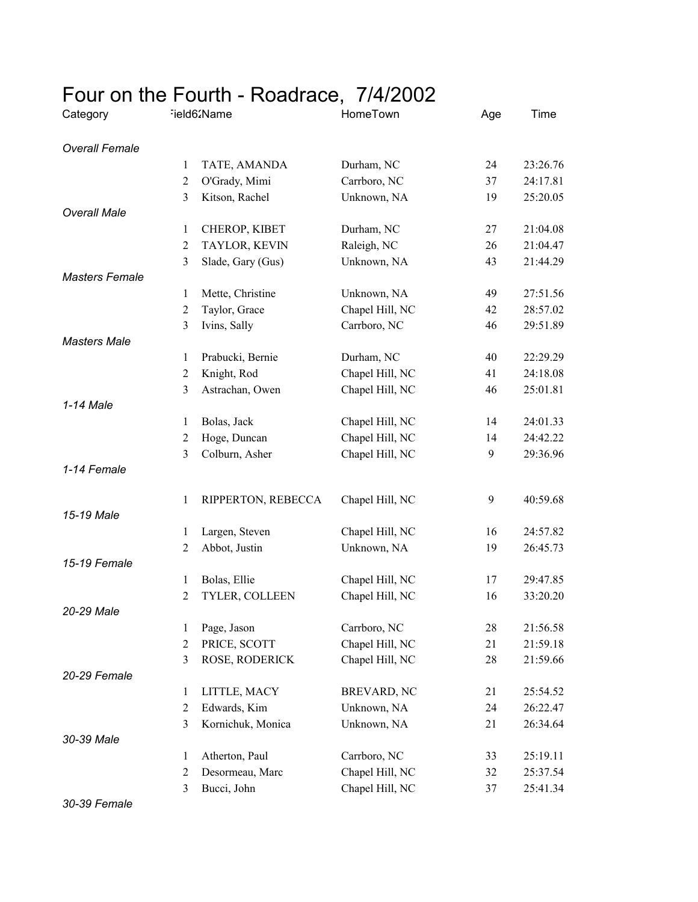## Four on the Fourth - Roadrace, 7/4/2002

| Category              |                | Field62Name        | HomeTown           | Age | Time     |
|-----------------------|----------------|--------------------|--------------------|-----|----------|
| <b>Overall Female</b> |                |                    |                    |     |          |
|                       | 1              | TATE, AMANDA       | Durham, NC         | 24  | 23:26.76 |
|                       | $\overline{2}$ | O'Grady, Mimi      | Carrboro, NC       | 37  | 24:17.81 |
|                       | 3              | Kitson, Rachel     | Unknown, NA        | 19  | 25:20.05 |
| <b>Overall Male</b>   |                |                    |                    |     |          |
|                       | 1              | CHEROP, KIBET      | Durham, NC         | 27  | 21:04.08 |
|                       | $\overline{2}$ | TAYLOR, KEVIN      | Raleigh, NC        | 26  | 21:04.47 |
|                       | 3              | Slade, Gary (Gus)  | Unknown, NA        | 43  | 21:44.29 |
| <b>Masters Female</b> |                |                    |                    |     |          |
|                       | 1              | Mette, Christine   | Unknown, NA        | 49  | 27:51.56 |
|                       | $\overline{2}$ | Taylor, Grace      | Chapel Hill, NC    | 42  | 28:57.02 |
|                       | 3              | Ivins, Sally       | Carrboro, NC       | 46  | 29:51.89 |
| <b>Masters Male</b>   |                |                    |                    |     |          |
|                       | 1              | Prabucki, Bernie   | Durham, NC         | 40  | 22:29.29 |
|                       | $\overline{2}$ | Knight, Rod        | Chapel Hill, NC    | 41  | 24:18.08 |
|                       | 3              | Astrachan, Owen    | Chapel Hill, NC    | 46  | 25:01.81 |
| 1-14 Male             |                |                    |                    |     |          |
|                       | 1              | Bolas, Jack        | Chapel Hill, NC    | 14  | 24:01.33 |
|                       | $\overline{2}$ | Hoge, Duncan       | Chapel Hill, NC    | 14  | 24:42.22 |
|                       | 3              | Colburn, Asher     | Chapel Hill, NC    | 9   | 29:36.96 |
| 1-14 Female           |                |                    |                    |     |          |
|                       | 1              | RIPPERTON, REBECCA | Chapel Hill, NC    | 9   | 40:59.68 |
| 15-19 Male            |                |                    |                    |     |          |
|                       | 1              | Largen, Steven     | Chapel Hill, NC    | 16  | 24:57.82 |
|                       | $\overline{2}$ | Abbot, Justin      | Unknown, NA        | 19  | 26:45.73 |
| 15-19 Female          |                |                    |                    |     |          |
|                       | 1              | Bolas, Ellie       | Chapel Hill, NC    | 17  | 29:47.85 |
|                       | $\overline{c}$ | TYLER, COLLEEN     | Chapel Hill, NC    | 16  | 33:20.20 |
| 20-29 Male            |                |                    |                    |     |          |
|                       | 1              | Page, Jason        | Carrboro, NC       | 28  | 21:56.58 |
|                       | $\overline{2}$ | PRICE, SCOTT       | Chapel Hill, NC    | 21  | 21:59.18 |
|                       | 3              | ROSE, RODERICK     | Chapel Hill, NC    | 28  | 21:59.66 |
| 20-29 Female          |                |                    |                    |     |          |
|                       | 1              | LITTLE, MACY       | <b>BREVARD, NC</b> | 21  | 25:54.52 |
|                       | $\overline{2}$ | Edwards, Kim       | Unknown, NA        | 24  | 26:22.47 |
| 30-39 Male            | 3              | Kornichuk, Monica  | Unknown, NA        | 21  | 26:34.64 |
|                       | 1              | Atherton, Paul     | Carrboro, NC       | 33  | 25:19.11 |
|                       | $\overline{2}$ | Desormeau, Marc    | Chapel Hill, NC    | 32  | 25:37.54 |
|                       | 3              | Bucci, John        |                    |     |          |
|                       |                |                    | Chapel Hill, NC    | 37  | 25:41.34 |

*30-39 Female*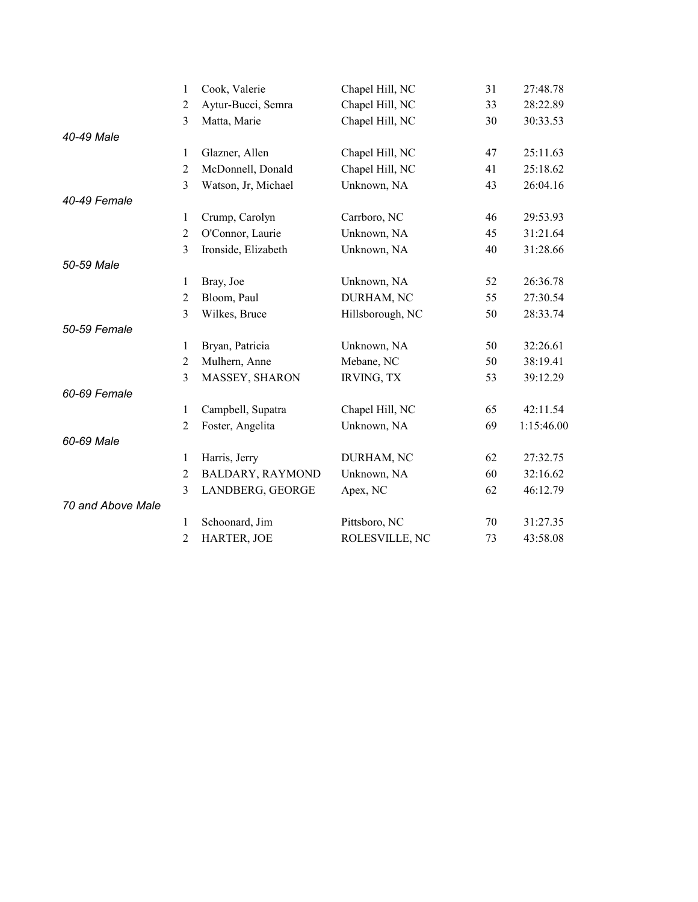|                   | 1              | Cook, Valerie       | Chapel Hill, NC   | 31 | 27:48.78   |
|-------------------|----------------|---------------------|-------------------|----|------------|
|                   | $\overline{2}$ | Aytur-Bucci, Semra  | Chapel Hill, NC   | 33 | 28:22.89   |
|                   | 3              | Matta, Marie        | Chapel Hill, NC   | 30 | 30:33.53   |
| 40-49 Male        |                |                     |                   |    |            |
|                   | $\mathbf{1}$   | Glazner, Allen      | Chapel Hill, NC   | 47 | 25:11.63   |
|                   | $\overline{2}$ | McDonnell, Donald   | Chapel Hill, NC   | 41 | 25:18.62   |
|                   | 3              | Watson, Jr, Michael | Unknown, NA       | 43 | 26:04.16   |
| 40-49 Female      |                |                     |                   |    |            |
|                   | 1              | Crump, Carolyn      | Carrboro, NC      | 46 | 29:53.93   |
|                   | $\mathbf{2}$   | O'Connor, Laurie    | Unknown, NA       | 45 | 31:21.64   |
|                   | 3              | Ironside, Elizabeth | Unknown, NA       | 40 | 31:28.66   |
| 50-59 Male        |                |                     |                   |    |            |
|                   | 1              | Bray, Joe           | Unknown, NA       | 52 | 26:36.78   |
|                   | $\overline{2}$ | Bloom, Paul         | DURHAM, NC        | 55 | 27:30.54   |
|                   | 3              | Wilkes, Bruce       | Hillsborough, NC  | 50 | 28:33.74   |
| 50-59 Female      |                |                     |                   |    |            |
|                   | 1              | Bryan, Patricia     | Unknown, NA       | 50 | 32:26.61   |
|                   | $\overline{2}$ | Mulhern, Anne       | Mebane, NC        | 50 | 38:19.41   |
|                   | 3              | MASSEY, SHARON      | <b>IRVING, TX</b> | 53 | 39:12.29   |
| 60-69 Female      |                |                     |                   |    |            |
|                   | 1              | Campbell, Supatra   | Chapel Hill, NC   | 65 | 42:11.54   |
|                   | $\overline{2}$ | Foster, Angelita    | Unknown, NA       | 69 | 1:15:46.00 |
| 60-69 Male        |                |                     |                   |    |            |
|                   | $\mathbf{1}$   | Harris, Jerry       | DURHAM, NC        | 62 | 27:32.75   |
|                   | $\overline{2}$ | BALDARY, RAYMOND    | Unknown, NA       | 60 | 32:16.62   |
|                   | 3              | LANDBERG, GEORGE    | Apex, NC          | 62 | 46:12.79   |
| 70 and Above Male |                |                     |                   |    |            |
|                   | 1              | Schoonard, Jim      | Pittsboro, NC     | 70 | 31:27.35   |
|                   | $\overline{c}$ | HARTER, JOE         | ROLESVILLE, NC    | 73 | 43:58.08   |
|                   |                |                     |                   |    |            |